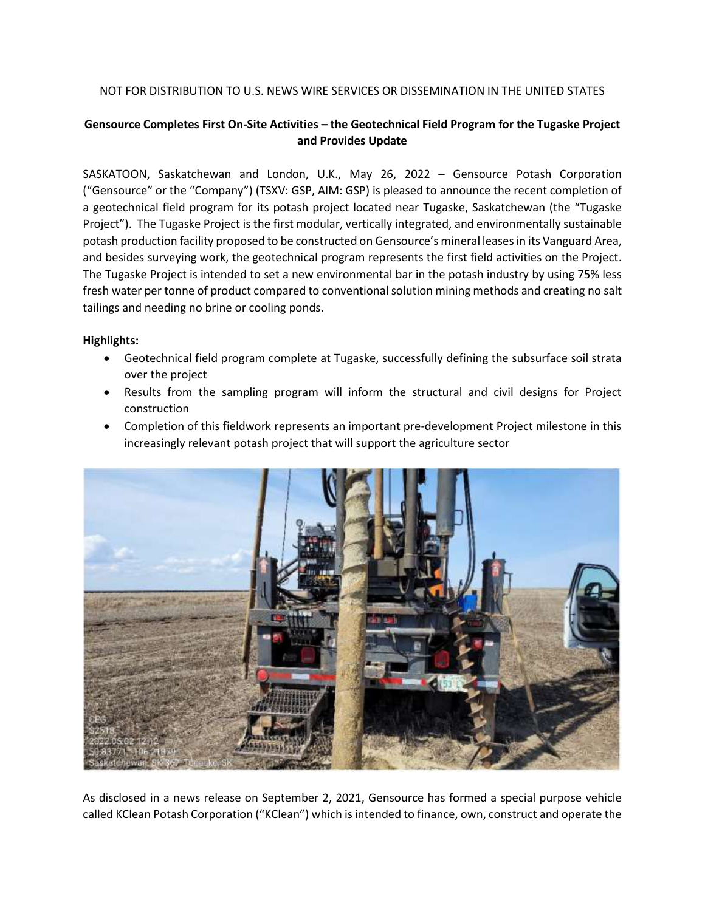### NOT FOR DISTRIBUTION TO U.S. NEWS WIRE SERVICES OR DISSEMINATION IN THE UNITED STATES

# **Gensource Completes First On-Site Activities – the Geotechnical Field Program for the Tugaske Project and Provides Update**

SASKATOON, Saskatchewan and London, U.K., May 26, 2022 – Gensource Potash Corporation ("Gensource" or the "Company") (TSXV: GSP, AIM: GSP) is pleased to announce the recent completion of a geotechnical field program for its potash project located near Tugaske, Saskatchewan (the "Tugaske Project"). The Tugaske Project is the first modular, vertically integrated, and environmentally sustainable potash production facility proposed to be constructed on Gensource's mineral leases in its Vanguard Area, and besides surveying work, the geotechnical program represents the first field activities on the Project. The Tugaske Project is intended to set a new environmental bar in the potash industry by using 75% less fresh water per tonne of product compared to conventional solution mining methods and creating no salt tailings and needing no brine or cooling ponds.

### **Highlights:**

- Geotechnical field program complete at Tugaske, successfully defining the subsurface soil strata over the project
- Results from the sampling program will inform the structural and civil designs for Project construction
- Completion of this fieldwork represents an important pre-development Project milestone in this increasingly relevant potash project that will support the agriculture sector



As disclosed in a news release on September 2, 2021, Gensource has formed a special purpose vehicle called KClean Potash Corporation ("KClean") which is intended to finance, own, construct and operate the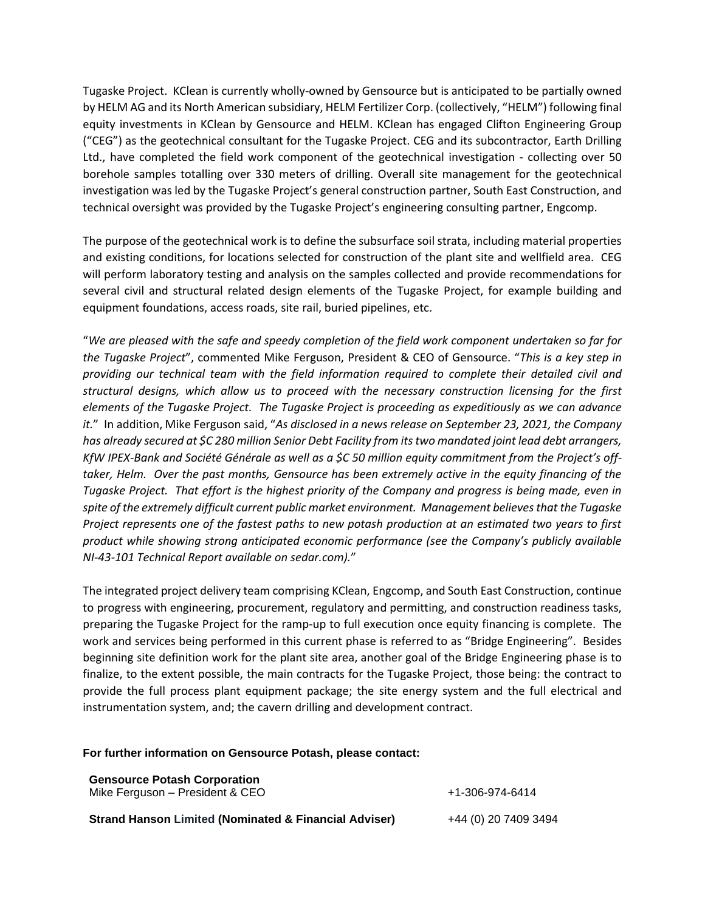Tugaske Project. KClean is currently wholly-owned by Gensource but is anticipated to be partially owned by HELM AG and its North American subsidiary, HELM Fertilizer Corp. (collectively, "HELM") following final equity investments in KClean by Gensource and HELM. KClean has engaged Clifton Engineering Group ("CEG") as the geotechnical consultant for the Tugaske Project. CEG and its subcontractor, Earth Drilling Ltd., have completed the field work component of the geotechnical investigation - collecting over 50 borehole samples totalling over 330 meters of drilling. Overall site management for the geotechnical investigation was led by the Tugaske Project's general construction partner, South East Construction, and technical oversight was provided by the Tugaske Project's engineering consulting partner, Engcomp.

The purpose of the geotechnical work is to define the subsurface soil strata, including material properties and existing conditions, for locations selected for construction of the plant site and wellfield area. CEG will perform laboratory testing and analysis on the samples collected and provide recommendations for several civil and structural related design elements of the Tugaske Project, for example building and equipment foundations, access roads, site rail, buried pipelines, etc.

"*We are pleased with the safe and speedy completion of the field work component undertaken so far for the Tugaske Project*", commented Mike Ferguson, President & CEO of Gensource. "*This is a key step in providing our technical team with the field information required to complete their detailed civil and structural designs, which allow us to proceed with the necessary construction licensing for the first elements of the Tugaske Project. The Tugaske Project is proceeding as expeditiously as we can advance it.*" In addition, Mike Ferguson said, "*As disclosed in a news release on September 23, 2021, the Company has already secured at \$C 280 million Senior Debt Facility from its two mandated joint lead debt arrangers, KfW IPEX-Bank and Société Générale as well as a \$C 50 million equity commitment from the Project's offtaker, Helm. Over the past months, Gensource has been extremely active in the equity financing of the Tugaske Project. That effort is the highest priority of the Company and progress is being made, even in spite of the extremely difficult current public market environment. Management believes that the Tugaske Project represents one of the fastest paths to new potash production at an estimated two years to first product while showing strong anticipated economic performance (see the Company's publicly available NI-43-101 Technical Report available on sedar.com).*"

The integrated project delivery team comprising KClean, Engcomp, and South East Construction, continue to progress with engineering, procurement, regulatory and permitting, and construction readiness tasks, preparing the Tugaske Project for the ramp-up to full execution once equity financing is complete. The work and services being performed in this current phase is referred to as "Bridge Engineering". Besides beginning site definition work for the plant site area, another goal of the Bridge Engineering phase is to finalize, to the extent possible, the main contracts for the Tugaske Project, those being: the contract to provide the full process plant equipment package; the site energy system and the full electrical and instrumentation system, and; the cavern drilling and development contract.

**For further information on Gensource Potash, please contact:**

| <b>Gensource Potash Corporation</b><br>Mike Ferguson – President & CEO | +1-306-974-6414      |
|------------------------------------------------------------------------|----------------------|
| <b>Strand Hanson Limited (Nominated &amp; Financial Adviser)</b>       | +44 (0) 20 7409 3494 |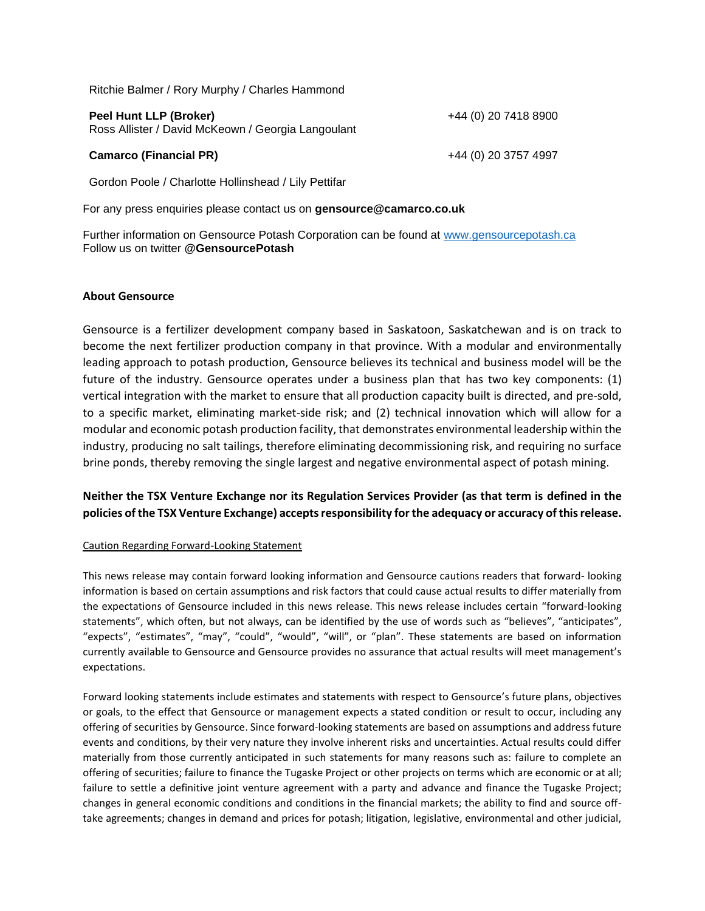Ritchie Balmer / Rory Murphy / Charles Hammond

**Peel Hunt LLP (Broker)**  $+44$  (0) 20 7418 8900 Ross Allister / David McKeown / Georgia Langoulant

**Camarco (Financial PR)** +44 (0) 20 3757 4997

Gordon Poole / Charlotte Hollinshead / Lily Pettifar

For any press enquiries please contact us on **gensource@camarco.co.uk**

Further information on Gensource Potash Corporation can be found at [www.gensourcepotash.ca](http://www.gensourcepotash.ca/) Follow us on twitter **@GensourcePotash**

### **About Gensource**

Gensource is a fertilizer development company based in Saskatoon, Saskatchewan and is on track to become the next fertilizer production company in that province. With a modular and environmentally leading approach to potash production, Gensource believes its technical and business model will be the future of the industry. Gensource operates under a business plan that has two key components: (1) vertical integration with the market to ensure that all production capacity built is directed, and pre-sold, to a specific market, eliminating market-side risk; and (2) technical innovation which will allow for a modular and economic potash production facility, that demonstrates environmental leadership within the industry, producing no salt tailings, therefore eliminating decommissioning risk, and requiring no surface brine ponds, thereby removing the single largest and negative environmental aspect of potash mining.

## **Neither the TSX Venture Exchange nor its Regulation Services Provider (as that term is defined in the policies of the TSX Venture Exchange) accepts responsibility for the adequacy or accuracy of this release.**

#### Caution Regarding Forward-Looking Statement

This news release may contain forward looking information and Gensource cautions readers that forward- looking information is based on certain assumptions and risk factors that could cause actual results to differ materially from the expectations of Gensource included in this news release. This news release includes certain "forward-looking statements", which often, but not always, can be identified by the use of words such as "believes", "anticipates", "expects", "estimates", "may", "could", "would", "will", or "plan". These statements are based on information currently available to Gensource and Gensource provides no assurance that actual results will meet management's expectations.

Forward looking statements include estimates and statements with respect to Gensource's future plans, objectives or goals, to the effect that Gensource or management expects a stated condition or result to occur, including any offering of securities by Gensource. Since forward-looking statements are based on assumptions and address future events and conditions, by their very nature they involve inherent risks and uncertainties. Actual results could differ materially from those currently anticipated in such statements for many reasons such as: failure to complete an offering of securities; failure to finance the Tugaske Project or other projects on terms which are economic or at all; failure to settle a definitive joint venture agreement with a party and advance and finance the Tugaske Project; changes in general economic conditions and conditions in the financial markets; the ability to find and source offtake agreements; changes in demand and prices for potash; litigation, legislative, environmental and other judicial,